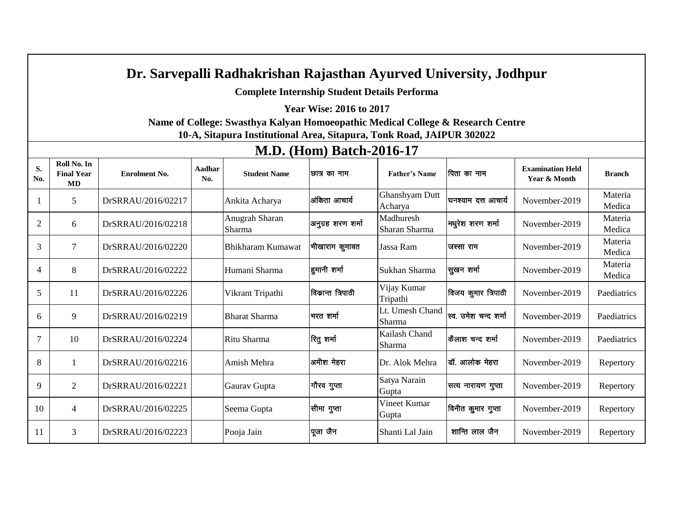## **Dr. Sarvepalli Radhakrishan Rajasthan Ayurved University, Jodhpur**

**Complete Internship Student Details Performa** 

**Year Wise: 2016 to 2017** 

**Name of College: Swasthya Kalyan Homoeopathic Medical College & Research Centre 10-A, Sitapura Institutional Area, Sitapura, Tonk Road, JAIPUR 302022**

## **S. No. Roll No. In Final Year MD Enrolment No. Aadhar No. A**<sub>No.</sub> Rothar **No.** Student Name **Dellary and Accord Pather's Name** <u>**Examination Held** vear & Month</u> **No.** 1 **Examination Held**<br> **Year & Month Branch**  $\begin{array}{c|c|c|c|c} 1 & 5 & \text{DrSRRAU/2016/02217} \end{array}$  Ankita Acharya v after a strategies of Ghanshyam Dutt Acharya घनश्याम दत्त आचार्य | November-2019 | Materia Medica 2 6 DrSRRAU/2016/02218 Anugrah Sharan Sharma |<br>|अनुग्रह शरण शर्मा ||Madhuresh Sharan Sharma मधुरेश शरण शर्मा | November-2019 | Materia Medica 3 | 7 | DrSRRAU/2016/02220 | Bhikharam Kumawat | भीखाराम कुमावत | Jassa Ram | जस्सा राम | November-2019 | Materia Medica 4 | 8 DrSRRAU/2016/02222 | Humani Sharma | हुमानी शर्मा | Sukhan Sharma | सुखन शर्मा | November-2019 | Materia Medica  $\begin{array}{c|c|c|c|c} 5 & 11 & \text{DrSRRAU/2016/02226} \end{array}$  Vikrant Tripathi **विकान्त त्रिपाठी** Vijay Kumar Tripathi विजय कुमार त्रिपाठी | November-2019 | Paediatrics  $\begin{array}{c|c|c|c|c|c} \hline \end{array}$  9 DrSRRAU/2016/02219 Bharat Sharma H<sub>R</sub> in the Lt. Umesh Chand Sharma |स्व. उमेश चन्द शर्मा | November-2019 | Paediatrics  $\begin{array}{c|c|c|c|c|c} \hline \end{array}$  10 DrSRRAU/2016/02224 Ritu Sharma  $\begin{array}{c|c|c} \hline \end{array}$   $\begin{array}{c|c|c} \hline \end{array}$   $\begin{array}{c|c} \hline \end{array}$  Kailash Chand Sharma  $\phi$ लाश चन्द शर्मा | November-2019 | Paediatrics 8 | 1 | DrSRRAU/2016/02216 | Amish Mehra | अमीश मेहरा | Dr. Alok Mehra | जॉ. आलोक मेहरा | November-2019 | Repertory  $\begin{array}{c|c|c|c|c} \hline \end{array}$  2 DrSRRAU/2016/02221 Gaurav Gupta  $\begin{array}{c|c|c} \hline \end{array}$   $\begin{array}{c|c|c} \hline \end{array}$  Satya Narain **Gupta** सत्य नारायण गुप्ता | November-2019 | Repertory  $\begin{array}{c|c|c|c|c|c} \hline \end{array}$  10 4 DrSRRAU/2016/02225 Seema Gupta  $\begin{array}{c|c|c} \end{array}$   $\begin{array}{c|c} \end{array}$   $\begin{array}{c} \end{array}$  Vineet Kumar Gupta विनीत कुमार गुप्ता | November-2019 | Repertory 11 3 DrSRRAU/2016/02223 Pooja Jain i wtk t Su Shanti Lal Jain 'kkfUr yky t Su November-2019 Repertory

## **M.D. (Hom) Batch-2016-17**